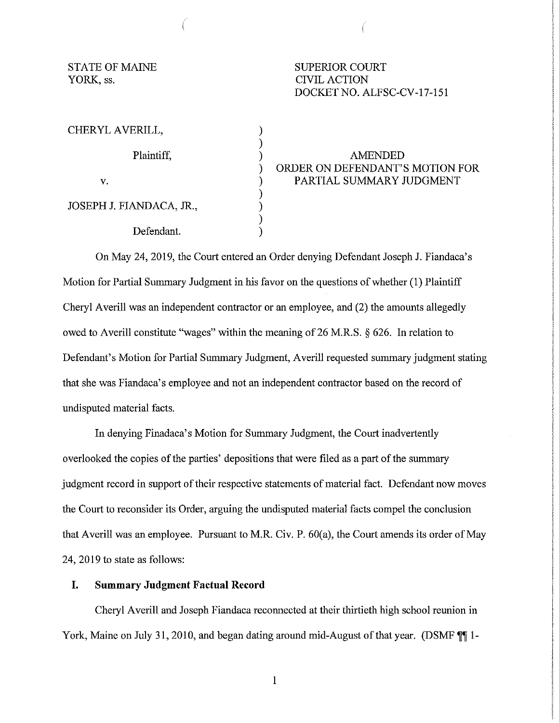YORK, ss. CIVIL ACTION

STATE OF MAINE SUPERIOR COURT DOCKET NO. ALFSC-CV-17-151

| CHERYL AVERILL,          |  |
|--------------------------|--|
| Plaintiff,               |  |
|                          |  |
| V.                       |  |
|                          |  |
| JOSEPH J. FIANDACA, JR., |  |
|                          |  |
| Defendant.               |  |

) AMENDED ORDER ON DEFENDANT'S MOTION FOR PARTIAL SUMMARY JUDGMENT

On May 24, 2019, the Court entered an Order denying Defendant Joseph J. Fiandaca's Motion for Partial Summary Judgment in his favor on the questions of whether (1) Plaintiff Cheryl Averill was an independent contractor or an employee, and (2) the amounts allegedly owed to Averill constitute "wages" within the meaning of 26 M.R.S. § 626. In relation to Defendant's Motion for Partial Summary Judgment, Averill requested summary judgment stating that she was Fiandaca's employee and not an independent contractor based on the record of undisputed material facts.

In denying Finadaca's Motion for Summary Judgment, the Court inadvertently overlooked the copies of the parties' depositions that were filed as a part of the summary judgment record in support of their respective statements of material fact. Defendant now moves the Court to reconsider its Order, arguing the undisputed material facts compel the conclusion that Averill was an employee. Pursuant to M.R. Civ. P. 60(a), the Court amends its order of May 24, 2019 to state as follows:

## **I. Summary Judgment Factual Record**

Cheryl Averill and Joseph Fiandaca reconnected at their thirtieth high school reunion in York, Maine on July 31, 2010, and began dating around mid-August of that year. (DSMF  $\llbracket \P \rrbracket$  1-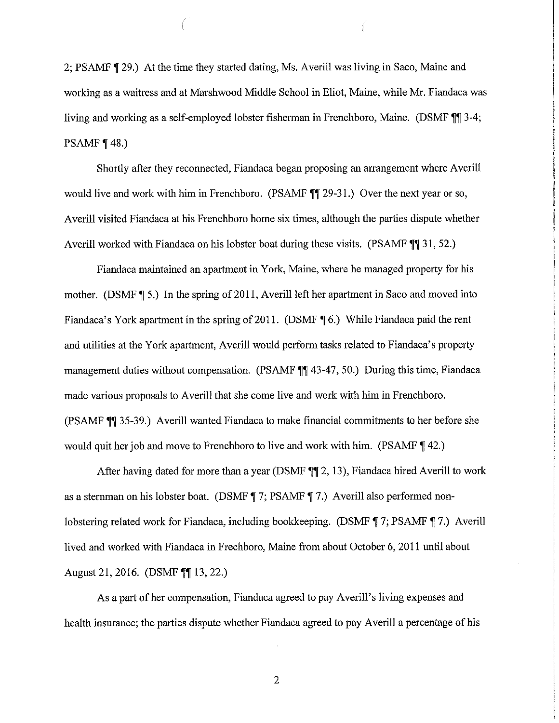2; PSAMF 129.) At the time they started dating, Ms. Averill was living in Saco, Maine and working as a waitress and at Marshwood Middle School in Eliot, Maine, while Mr. Fiandaca was living and working as a self-employed lobster fisherman in Frenchboro, Maine. (DSMF **11** 3-4; PSAMF  $\P$  48.)

Shortly after they reconnected, Fiandaca began proposing an arrangement where Averill would live and work with him in Frenchboro. (PSAMF  $\P$ ] 29-31.) Over the next year or so, Averill visited Fiandaca at his Frenchboro home six times, although the parties dispute whether Averill worked with Fiandaca on his lobster boat during these visits. (PSAMF **11** 31, 52.)

Fiandaca maintained an apartment in York, Maine, where he managed property for his mother. (DSMF **1**5.) In the spring of 2011, Averill left her apartment in Saco and moved into Fiandaca's York apartment in the spring of 2011. (DSMF **16.)** While Fiandaca paid the rent and utilities at the York apartment, Averill would perform tasks related to Fiandaca's property management duties without compensation. (PSAMF  $\P\P$  43-47, 50.) During this time, Fiandaca made various proposals to Averill that she come live and work with him in Frenchboro. (PSAMF 11 35-39.) Averill wanted Fiandaca to make financial commitments to her before she would quit her job and move to Frenchboro to live and work with him. (PSAMF **1**42.)

After having dated for more than a year (DSMF **112,** 13), Fiandaca hired Averill to work as a sternman on his lobster boat. (DSMF **17;** PSAMF **17.)** Averill also performed nonlobstering related work for Fiandaca, including bookkeeping. (DSMF **17;** PSAMF **17.)** Averill lived and worked with Fiandaca in Frechboro, Maine from about October 6, 2011 until about August 21, 2016. (DSMF **11** 13, 22.)

As a part of her compensation, Fiandaca agreed to pay Averill's living expenses and health insurance; the parties dispute whether Fiandaca agreed to pay Averill a percentage of his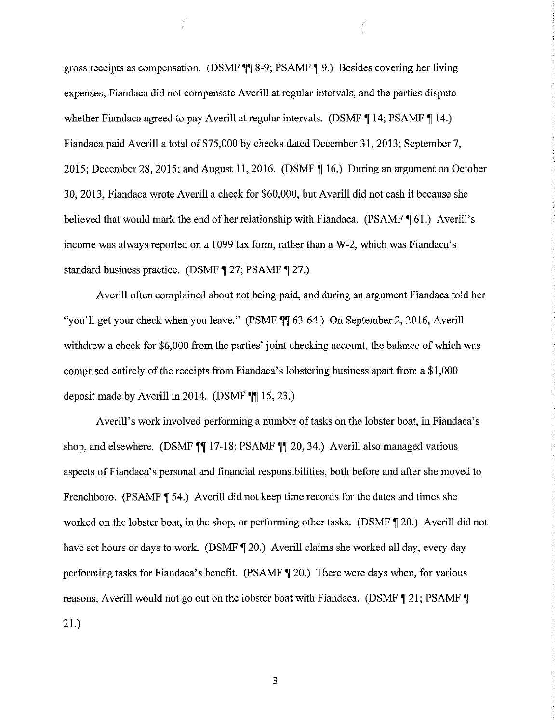gross receipts as compensation. (DSMF **1** 8-9; PSAMF **1** 9.) Besides covering her living expenses, Fiandaca did not compensate Averill at regular intervals, and the parties dispute whether Fiandaca agreed to pay Averill at regular intervals. (DSMF **14**; PSAMF **14.**) Fiandaca paid Averill a total of \$75,000 by checks dated December 31, 2013; September 7, 2015; December 28, 2015; and August 11, 2016. (DSMF ¶ 16.) During an argument on October 30, 2013, Fiandaca wrote Averill a check for \$60,000, but Averill did not cash it because she believed that would mark the end of her relationship with Fiandaca. (PSAMF  $\P$  61.) Averill's income was always reported on a 1099 tax form, rather than a W-2, which was Fiandaca's standard business practice. (DSMF **1** 27; PSAMF **1** 27.)

Averill often complained about not being paid, and during an argument Fiandaca told her "you'll get your check when you leave." (PSMF **\\\leads** 63-64.) On September 2, 2016, Averill withdrew a check for \$6,000 from the parties' joint checking account, the balance of which was comprised entirely of the receipts from Fiandaca's lobstering business apart from a \$1,000 deposit made by Averill in 2014. (DSMF  $\P$  $\P$  15, 23.)

Averill's work involved performing a number of tasks on the lobster boat, in Fiandaca's shop, and elsewhere. (DSMF **117-18**; PSAMF **117-20**, 34.) Averill also managed various aspects of Fiandaca's personal and financial responsibilities, both before and after she moved to Frenchboro. (PSAMF **1** 54.) Averill did not keep time records for the dates and times she worked on the lobster boat, in the shop, or performing other tasks. (DSMF **1** 20.) Averill did not have set hours or days to work. (DSMF **1** 20.) Averill claims she worked all day, every day performing tasks for Fiandaca's benefit. (PSAMF **1** 20.) There were days when, for various reasons, Averill would not go out on the lobster boat with Fiandaca. (DSMF 121; PSAMF 1 21.)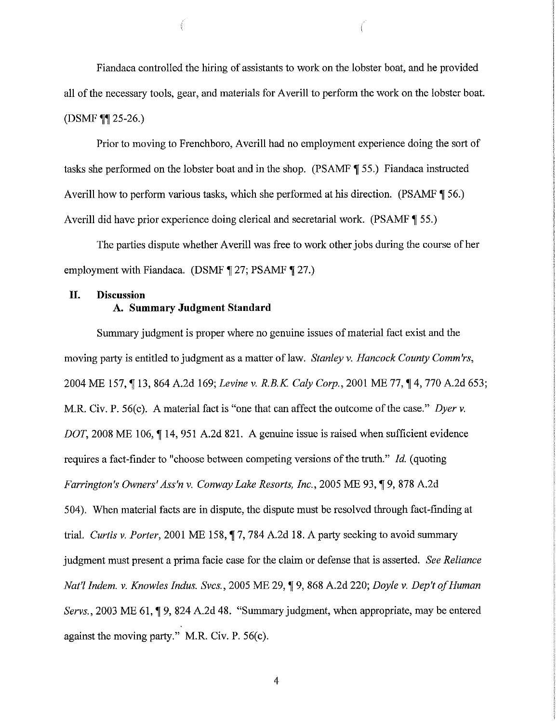Fiandaca controlled the hiring of assistants to work on the lobster boat, and he provided all of the necessary tools, gear, and materials for Averill to perform the work on the lobster boat. (DSMF **11** 25-26.)

Prior to moving to Frenchboro, Averill had no employment experience doing the sort of tasks she performed on the lobster boat and in the shop. (PSAMF **1** 55.) Fiandaca instructed Averill how to perform various tasks, which she performed at his direction. (PSAMF  $\parallel$  56.) Averill did have prior experience doing clerical and secretarial work. (PSAMF **1** 55.)

The parties dispute whether Averill was free to work other jobs during the course of her employment with Fiandaca. (DSMF **127**; PSAMF **127.**)

# **II. Discussion A. Summary Judgment Standard**

Summary judgment is proper where no genuine issues of material fact exist and the moving party is entitled to judgment as a matter of law. *Stanley v. Hancock County Comm'rs,* 2004 ME 157, 13, 864 A.2d 169; *Levine v. R.B.K. Caly Corp.*, 2001 ME 77, 14, 770 A.2d 653; M.R. Civ. P. 56(c). A material fact is "one that can affect the outcome of the case." *Dyer v.* DOT, 2008 ME 106, 14, 951 A.2d 821. A genuine issue is raised when sufficient evidence requires a fact-finder to "choose between competing versions of the truth." *Id.* (quoting *Farrington's Owners' Ass'n v. Conway Lake Resorts, Inc., 2005 ME 93,* 19, 878 A.2d 504). When material facts are in dispute, the dispute must be resolved through fact-finding at trial. *Curtis v. Porter*, 2001 ME 158,  $\P$  7, 784 A.2d 18. A party seeking to avoid summary judgment must present a prima facie case for the claim or defense that is asserted. *See Reliance Nat'l Indem. v. Knowles Indus. Svcs., 2005 ME 29,* [9, 868 A.2d 220; *Doyle v. Dep't of Human Servs.*, 2003 ME 61, **19, 824 A.2d 48.** "Summary judgment, when appropriate, may be entered against the moving party." M.R. Civ. P. 56(c).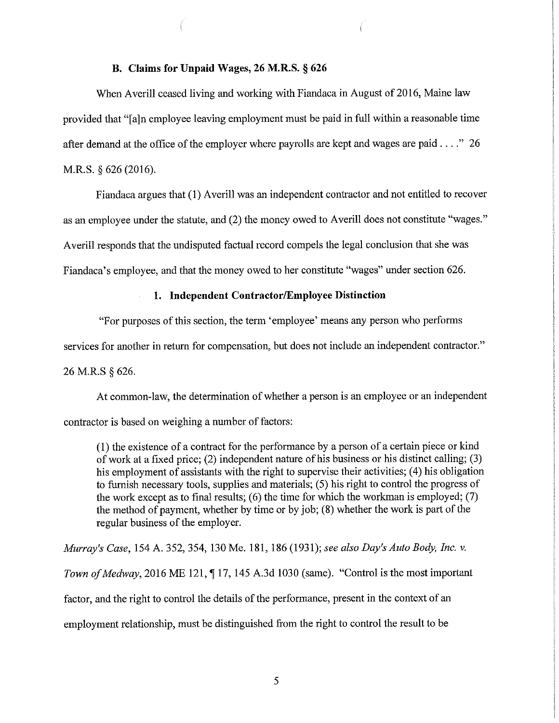## **B. Claims for Unpaid Wages, 26 M.R.S. § 626**

When Averill ceased living and working with Fiandaca in August of 2016, Maine law provided that"[a]n employee leaving employment must be paid in full within a reasonable time after demand at the office of the employer where payrolls are kept and wages are paid . . . " 26 M.R.S. § 626 (2016).

Fiandaca argues that (1) Averill was an independent contractor and not entitled to recover as an employee under the statute, and (2) the money owed to Averill does not constitute "wages." Averill responds that the undisputed factual record compels the legal conclusion that she was Fiandaca's employee, and that the money owed to her constitute "wages" under section 626.

#### **1. Independent Contractor/Employee Distinction**

"For purposes of this section, the term 'employee' means any person who performs

services for another in return for compensation, but does not include an independent contractor."

26 M.R.S § 626.

At common-law, the determination of whether a person is an employee or an independent contractor is based on weighing a number of factors:

(I) the existence of a contract for the performance by a person of a certain piece or kind of work at a fixed price; (2) independent nature of his business or his distinct calling; (3) his employment of assistants with the right to supervise their activities; (4) his obligation to furnish necessary tools, supplies and materials; (5) his right to control the progress of the work except as to final results;  $(6)$  the time for which the workman is employed;  $(7)$ the method of payment, whether by time or by job; (8) whether the work is part of the regular business of the employer.

*Murray's Case,* 154 A. 352, 354, 130 Me. 181, 186 (1931); *see also Day's Auto Body, Inc. v. Town of Medway*, 2016 ME 121, **117**, 145 A.3d 1030 (same). "Control is the most important factor, and the right to control the details of the performance, present in the context of an employment relationship, must be distinguished from the right to control the result to be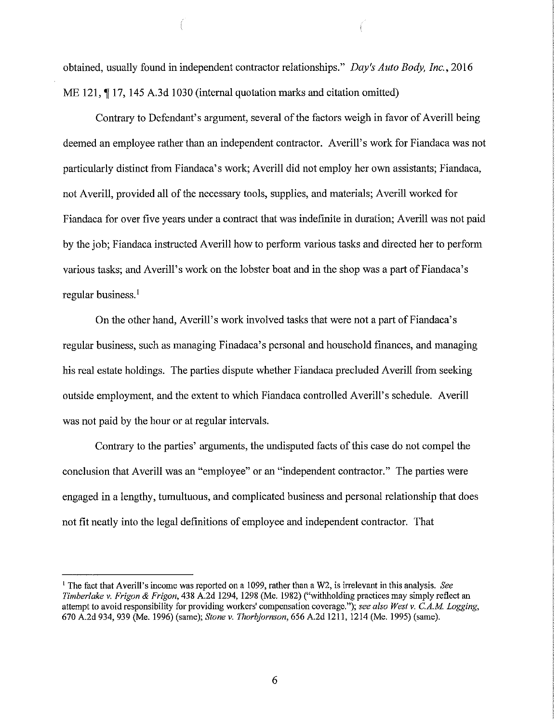obtained, usually found in independent contractor relationships." *Day's Auto Body, Inc.,* 2016 ME 121,  $\P$  17, 145 A.3d 1030 (internal quotation marks and citation omitted)

Contrary to Defendant's argument, several of the factors weigh in favor of Averill being deemed an employee rather than an independent contractor. Averill's work for Fiandaca was not particularly distinct from Fiandaca's work; Averill did not employ her own assistants; Fiandaca, not Averill, provided all of the necessary tools, supplies, and materials; Averill worked for Fiandaca for over five years under a contract that was indefinite in duration; Averill was not paid by the job; Fiandaca instructed Averill how to perform various tasks and directed her to perform various tasks; and Averill's work on the lobster boat and in the shop was a part of Fiandaca's regular business.<sup>1</sup>

On the other hand, Averill's work involved tasks that were not a part of Fiandaca's regular business, such as managing Finadaca' s personal and household finances, and managing his real estate holdings. The parties dispute whether Fiandaca precluded Averill from seeking outside employment, and the extent to which Fiandaca controlled Averill's schedule. Averill was not paid by the hour or at regular intervals.

Contrary to the parties' arguments, the undisputed facts of this case do not compel the conclusion that Averill was an "employee" or an "independent contractor." The parties were engaged in a lengthy, tumultuous, and complicated business and personal relationship that does not fit neatly into the legal definitions of employee and independent contractor. That

<sup>1</sup> The fact that Averill's income was reported on a 1099, rather than a W2, is irrelevant in this analysis. *See Timberlake* v. *Frigon* & *Frigon,* 438 A.2d 1294, 1298 (Me. 1982) ("withholding practices may simply reflect an attempt to avoid responsibility for providing workers' compensation coverage."); *see also West v. C.A.M Logging,*  670 A.2d 934, 939 (Me. 1996) (same); *Stone v. Thorbjornson,* 656 A.2d 1211, 1214 (Me. 1995) (same).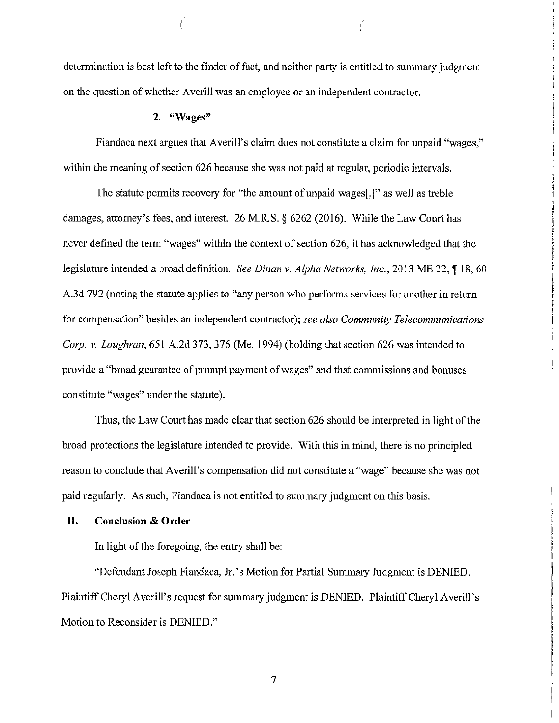determination is best left to the finder of fact, and neither party is entitled to summary judgment on the question of whether Averill was an employee or an independent contractor.

### **2. "Wages"**

Fiandaca next argues that Averill's claim does not constitute a claim for unpaid "wages," within the meaning of section 626 because she was not paid at regular, periodic intervals.

The statute permits recovery for "the amount of unpaid wages[,]" as well as treble damages, attorney's fees, and interest. 26 M.R.S. § 6262 (2016). While the Law Court has never defined the term "wages" within the context of section 626, it has acknowledged that the legislature intended a broad definition. *See Dinan v. Alpha Networks, Inc.,* 2013 ME 22, **118,** 60 A.3d 792 (noting the statute applies to "any person who performs services for another in return for compensation" besides an independent contractor); *see also Community Telecommunications Corp. v. Loughran,* 651 A.2d 373, 376 (Me. 1994) (holding that section 626 was intended to provide a "broad guarantee of prompt payment of wages" and that commissions and bonuses constitute "wages" under the statute).

Thus, the Law Court has made clear that section 626 should be interpreted in light of the broad protections the legislature intended to provide. With this in mind, there is no principled reason to conclude that Averill's compensation did not constitute a "wage" because she was not paid regularly. As such, Fiandaca is not entitled to summary judgment on this basis.

# **II. Conclusion & Order**

In light of the foregoing, the entry shall be:

"Defendant Joseph Fiandaca, Jr. 's Motion for Partial Summary Judgment is DENIED. Plaintiff Cheryl Averill's request for summary judgment is DENIED. Plaintiff Cheryl Averill's Motion to Reconsider is DENIED."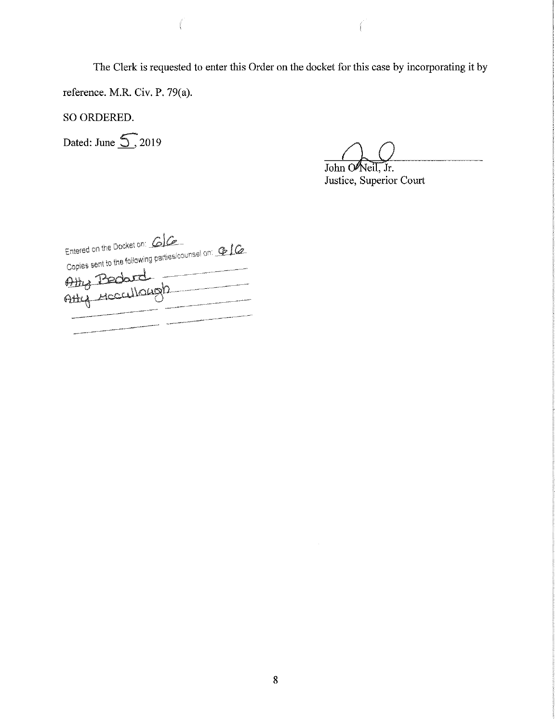The Clerk is requested to enter this Order on the docket for this case by incorporating it by

reference. M.R. Civ. P. 79(a).

SO ORDERED.

Dated: June  $\overline{\mathcal{S}}$ , 2019

John O'Neil, Jr.

Justice, Superior Court

Entered on the Docket on: 616 Entered on the Docket on: 616<br>Copies sent to the following parties/counsel on: 616 Copies sent to the bill Atty Meccullough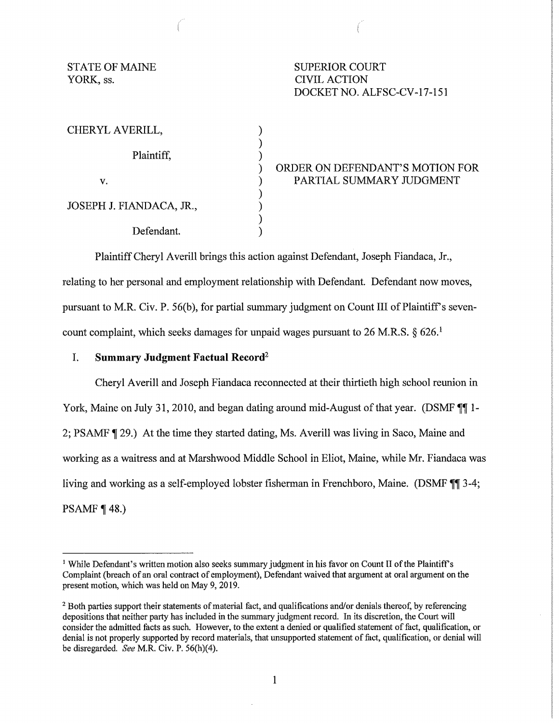YORK, ss. CIVIL ACTION

STATE OF MAINE SUPERIOR COURT DOCKETNO. ALFSC-CV-17-151

**Concert** 

| CHERYL AVERILL,          |             |
|--------------------------|-------------|
| Plaintiff,               |             |
| V.                       | ORDEI<br>PA |
|                          |             |
| JOSEPH J. FIANDACA, JR., |             |
| Defendant.               |             |

R ON DEFENDANT'S MOTION FOR RTIAL SUMMARY JUDGMENT

Plaintiff Cheryl Averill brings this action against Defendant, Joseph Fiandaca, Jr., relating to her personal and employment relationship with Defendant. Defendant now moves, pursuant to M.R. Civ. P. 56(b), for partial summary judgment on Count III of Plaintiff's sevencount complaint, which seeks damages for unpaid wages pursuant to 26 M.R.S.  $\S$  626.<sup>1</sup>

## I. **Summary Judgment Factual Record<sup>2</sup>**

Cheryl Averill and Joseph Fiandaca reconnected at their thirtieth high school reunion in York, Maine on July 31, 2010, and began dating around mid-August of that year. (DSMF  $\P$  1-2; PSAMF **1** 29.) At the time they started dating, Ms. Averill was living in Saco, Maine and working as a waitress and at Marshwood Middle School in Eliot, Maine, while Mr. Fiandaca was living and working as a self-employed lobster fisherman in Frenchboro, Maine. (DSMF **11** 3-4; PSAMF  $\P$  48.)

<sup>&</sup>lt;sup>1</sup> While Defendant's written motion also seeks summary judgment in his favor on Count II of the Plaintiff's Complaint (breach of an oral contract of employment), Defendant waived that argument at oral argument on the present motion, which was held on May 9, 2019.

<sup>&</sup>lt;sup>2</sup> Both parties support their statements of material fact, and qualifications and/or denials thereof, by referencing depositions that neither party has included in the summary judgment record. In its discretion, the Court will consider the admitted facts as such. However, to the extent a denied or qualified statement offact, qualification, or denial is not properly supported by record materials, that unsupported statement offact, qualification, or denial will be disregarded. *See* M.R. Civ. P. 56(h}(4).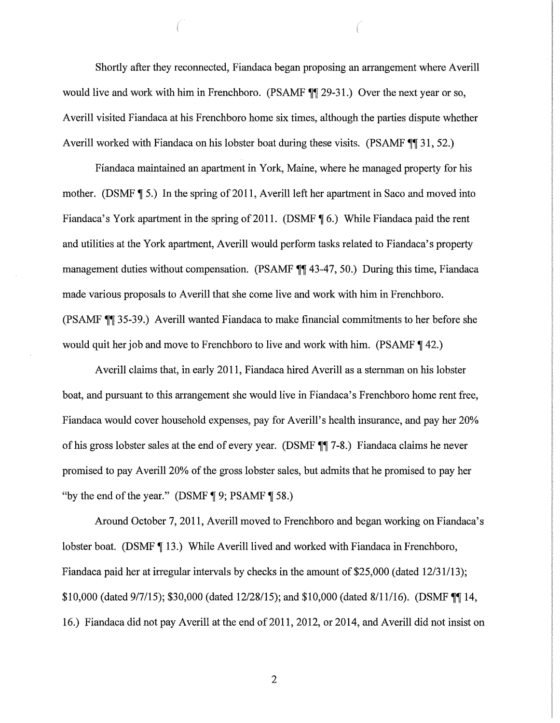Shortly after they reconnected, Fiandaca began proposing an arrangement where Averill would live and work with him in Frenchboro. (PSAMF  $\mathbb{N}$  29-31.) Over the next year or so, Averill visited Fiandaca at his Frenchboro home six times, although the parties dispute whether Averill worked with Fiandaca on his lobster boat during these visits. (PSAMF  $\P$  1, 52.)

(

Fiandaca maintained an apartment in York, Maine, where he managed property for his mother. (DSMF  $\P$  5.) In the spring of 2011, Averill left her apartment in Saco and moved into Fiandaca's York apartment in the spring of 2011. (DSMF **[6.]** While Fiandaca paid the rent and utilities at the York apartment, Averill would perform tasks related to Fiandaca's property management duties without compensation. (PSAMF **11** 43-47, 50.) During this time, Fiandaca made various proposals to Averill that she come live and work with him in Frenchboro. (PSAMF **T** 35-39.) Averill wanted Fiandaca to make financial commitments to her before she would quit her job and move to Frenchboro to live and work with him. (PSAMF **142.**)

Averill claims that, in early 2011, Fiandaca hired Averill as a sternman on his lobster boat, and pursuant to this arrangement she would live in Fiandaca's Frenchboro home rent free, Fiandaca would cover household expenses, pay for Averill's health insurance, and pay her 20% of his gross lobster sales at the end of every year. (DSMF **11** 7-8.) Fiandaca claims he never promised to pay Averill 20% of the gross lobster sales, but admits that he promised to pay her "by the end of the year." (DSMF  $\parallel$  9; PSAMF  $\parallel$  58.)

Around October 7, 2011, Averill moved to Frenchboro and began working on Fiandaca's lobster boat. (DSMF ¶ 13.) While Averill lived and worked with Fiandaca in Frenchboro, Fiandaca paid her at irregular intervals by checks in the amount of \$25,000 (dated 12/31/13); \$10,000 (dated  $9/7/15$ ); \$30,000 (dated 12/28/15); and \$10,000 (dated 8/11/16). (DSMF  $\P$ [14, 16.) Fiandaca did not pay Averill at the end of 2011, 2012, or 2014, and Averill did not insist on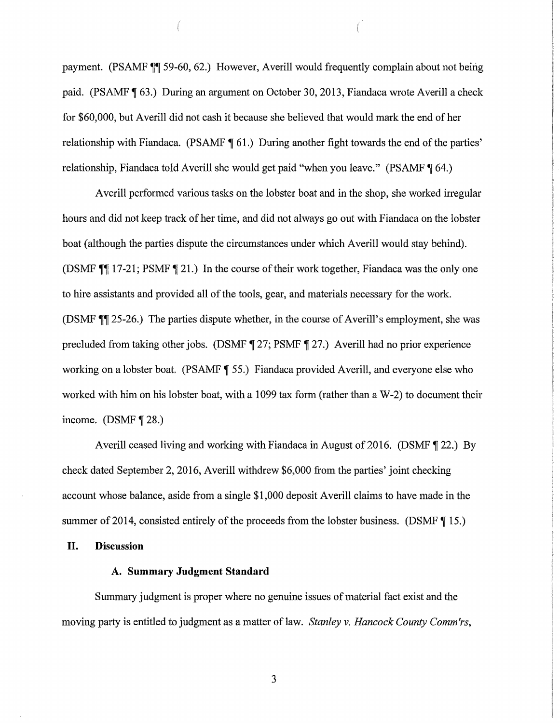payment. (PSAMF **T** 59-60, 62.) However, Averill would frequently complain about not being paid. (PSAMF **1** 63.) During an argument on October 30, 2013, Fiandaca wrote Averill a check for \$60,000, but Averill did not cash it because she believed that would mark the end of her relationship with Fiandaca. (PSAMF **1** 61.) During another fight towards the end of the parties' relationship, Fiandaca told Averill she would get paid "when you leave." (PSAMF  $\P$  64.)

Averill performed various tasks on the lobster boat and in the shop, she worked irregular hours and did not keep track of her time, and did not always go out with Fiandaca on the lobster boat (although the parties dispute the circumstances under which Averill would stay behind). (DSMF  $\P$  17-21; PSMF  $\P$  21.) In the course of their work together, Fiandaca was the only one to hire assistants and provided all of the tools, gear, and materials necessary for the work. (DSMF  $\parallel$  25-26.) The parties dispute whether, in the course of Averill's employment, she was precluded from taking other jobs. (DSMF **1** 27; PSMF 1 27.) Averill had no prior experience working on a lobster boat. (PSAMF **1** 55.) Fiandaca provided Averill, and everyone else who worked with him on his lobster boat, with a 1099 tax form (rather than a W-2) to document their income.  $(DSMF \parallel 28.)$ 

Averill ceased living and working with Fiandaca in August of 2016. (DSMF **1** 22.) By check dated September 2, 2016, Averill withdrew \$6,000 from the parties' joint checking account whose balance, aside from a single \$1,000 deposit Averill claims to have made in the summer of 2014, consisted entirely of the proceeds from the lobster business. (DSMF  $\P$  15.)

### **II. Discussion**

### **A. Summary Judgment Standard**

Summary judgment is proper where no genuine issues of material fact exist and the moving party is entitled to judgment as a matter of law. *Stanley v. Hancock County Comm'rs*,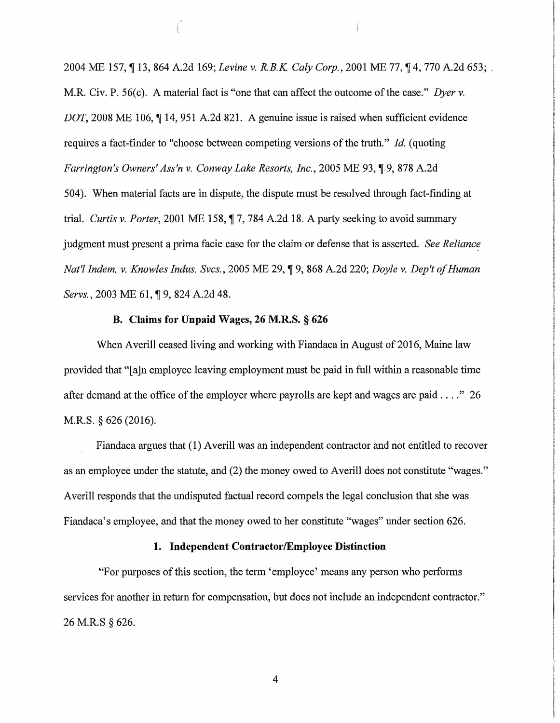2004 ME 157, 13, 864 A.2d 169; *Levine v. R.B.K. Caly Corp.*, 2001 ME 77, 14, 770 A.2d 653; . M.R. Civ. P. 56(c). A material fact is "one that can affect the outcome of the case." *Dyer v. DOT*, 2008 ME 106, 114, 951 A.2d 821. A genuine issue is raised when sufficient evidence requires a fact-finder to "choose between competing versions of the truth." *Id.* (quoting *Farrington's Owners' Ass'n v. Conway Lake Resorts, Inc., 2005 ME 93, 19, 878 A.2d* 504). When material facts are in dispute, the dispute must be resolved through fact-finding at trial. *Curtis v. Porter*, 2001 ME 158,  $\parallel$  7, 784 A.2d 18. A party seeking to avoid summary judgment must present a prima facie case for the claim or defense that is asserted. *See Reliance Nat'! lndem. v. Knowles Indus. Svcs.,* 2005 ME 29, **19,868** A.2d 220; *Doyle v. Dep'tofHuman Servs.*, 2003 ME 61, **[9, 824 A.2d 48.**]

# **B. Claims for Unpaid Wages, 26 M.R.S.** § **626**

When Averill ceased Iiving and working with Fiandaca in August of 2016, Maine law provided that "[a]n employee leaving employment must be paid in full within a reasonable time after demand at the office of the employer where payrolls are kept and wages are paid  $\dots$ ." 26 M.R.S. § 626 (2016).

Fiandaca argues that ( 1) Averill was an independent contractor and not entitled to recover as an employee under the statute, and (2) the money owed to Averill does not constitute "wages." Averill responds that the undisputed factual record compels the legal conclusion that she was Fiandaca's employee, and that the money owed to her constitute "wages" under section 626.

## **1. Independent Contractor/Employee Distinction**

"For purposes of this section, the term 'employee' means any person who performs services for another in return for compensation, but does not include an independent contractor." 26 M.R.S § 626.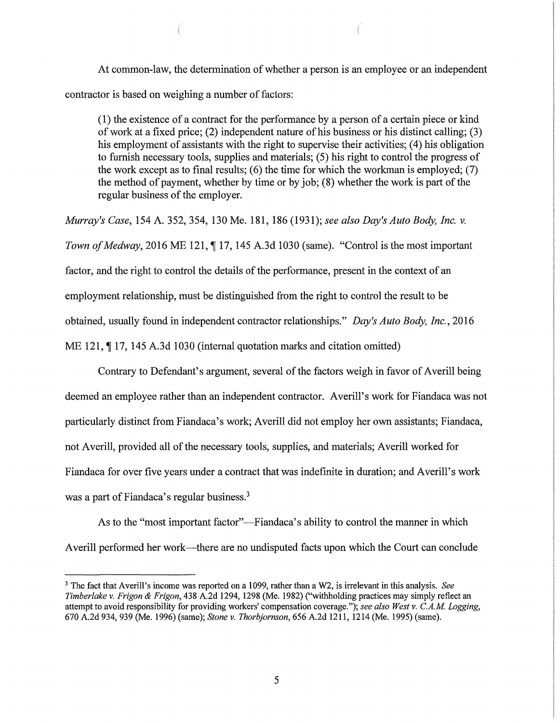At common-law, the determination of whether a person is an employee or an independent contractor is based on weighing a number of factors:

(1) the existence of a contract for the performance by a person of a certain piece or kind of work at a fixed price;  $(2)$  independent nature of his business or his distinct calling;  $(3)$ his employment of assistants with the right to supervise their activities; (4) his obligation to furnish necessary tools, supplies and materials; (5) his right to control the progress of the work except as to final results;  $(6)$  the time for which the workman is employed;  $(7)$ the method of payment, whether by time or by job; (8) whether the work is part of the regular business of the employer.

*Murray's Case,* 154 A. 352, 354, 130 Me. 181, 186 (1931); *see also Day's Auto Body, Inc. v. Town of Medway*, 2016 ME 121, 17, 145 A.3d 1030 (same). "Control is the most important factor, and the right to control the details of the performance, present in the context of an employment relationship, must be distinguished from the right to control the result to be obtained, usually found in independent contractor relationships." *Day <sup>1</sup> s Auto Body, Inc.,* 2016 ME 121, 17, 145 A.3d 1030 (internal quotation marks and citation omitted)

Contrary to Defendant's argument, several of the factors weigh in favor of Averill being deemed an employee rather than an independent contractor. Averill's work for Fiandaca was not particularly distinct from Fiandaca's work; Averill did not employ her own assistants; Fiandaca, not Averill, provided all of the necessary tools, supplies, and materials; Averill worked for Fiandaca for over five years under a contract that was indefinite in duration; and Averill's work was a part of Fiandaca's regular business.<sup>3</sup>

As to the "most important factor"—Fiandaca's ability to control the manner in which Averill performed her work—there are no undisputed facts upon which the Court can conclude

<sup>3</sup>The fact that Averill's income was reported on a 1099, rather than a W2, is irrelevant in this analysis. *See Timberlake v. Frigon & Frigon,* 438 A.2d 1294, 1298 (Me. 1982) ("withholding practices may simply reflect an attempt to avoid responsibility for providing workers' compensation coverage."); *see also West v. C.A.M Logging,*  670 A.2d 934, 939 (Me. 1996) (same); *Stone* v. *Thorbjornson,* 656 A.2d 1211, 1214 (Me. 1995) (same).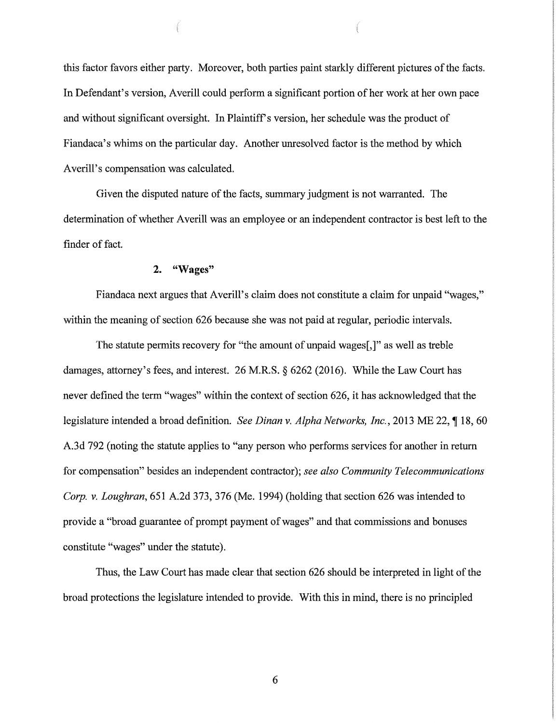this factor favors either party. Moreover, both parties paint starkly different pictures of the facts. In Defendant's version, Averill could perform a significant portion of her work at her own pace and without significant oversight. In Plaintiff's version, her schedule was the product of Fiandaca's whims on the particular day. Another unresolved factor is the method by which Averill's compensation was calculated.

Given the disputed nature of the facts, summary judgment is not warranted. The determination of whether Averill was an employee or an independent contractor is best left to the finder of fact.

## **2. "Wages"**

Fiandaca next argues that Averill's claim does not constitute a claim for unpaid "wages," within the meaning of section 626 because she was not paid at regular, periodic intervals.

The statute permits recovery for "the amount of unpaid wages[,]" as well as treble damages, attorney's fees, and interest. 26 M.RS. § 6262 (2016). While the Law Court has never defined the term "wages" within the context of section 626, it has acknowledged that the legislature intended a broad definition. *See Dinan v. Alpha Networks, Inc.*, 2013 ME 22, 18, 60 A.3d 792 (noting the statute applies to "any person who performs services for another in return for compensation" besides an independent contractor); *see also Community Telecommunications Corp. v. Loughran,* 651 A.2d 373, 376 (Me. 1994) (holding that section 626 was intended to provide a "broad guarantee of prompt payment of wages" and that commissions and bonuses constitute "wages" under the statute).

Thus, the Law Court has made clear that section 626 should be interpreted in light of the broad protections the legislature intended to provide. With this in mind, there is no principled